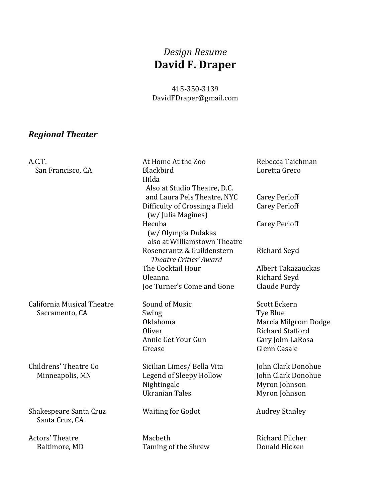## *Design Resume* **David F. Draper**

#### 415‐350‐3139 DavidFDraper@gmail.com

#### *Regional Theater*

A.C.T. At Home At the Zoo Rebecca Taichman San Francisco, CA Blackbird Blackbird Loretta Greco Hilda Also at Studio Theatre, D.C. and Laura Pels Theatre, NYC Carey Perloff Difficulty of Crossing a Field Carey Perloff (w/ Julia Magines) Hecuba Carey Perloff (w/ Olympia Dulakas also at Williamstown Theatre Rosencrantz & Guildenstern Richard Seyd *Theatre Critics' Award* The Cocktail Hour **Albert Takazauckas** Oleanna **Richard** Seyd Joe Turner's Come and Gone Claude Purdy California Musical Theatre Sound of Music Scott Eckern Sacramento, CA Swing Swing Sacramento, CA Swing Sacramento, CA Swing Sacramento, C Oklahoma Marcia Milgrom Dodge Oliver **Richard Stafford** Annie Get Your Gun Gary Iohn LaRosa Grease Glenn Casale Childrens' Theatre Co Sicilian Limes/ Bella Vita John Clark Donohue Minneapolis, MN Legend of Sleepy Hollow John Clark Donohue Nightingale Myron Johnson Ukranian Tales Myron Johnson Shakespeare Santa Cruz **Shakespeare** Santa Cruz **Waiting for Godot** Audrey Stanley Santa Cruz, CA Actors' Theatre **Macbeth** Macbeth **Richard Pilcher** Baltimore, MD Taming of the Shrew Donald Hicken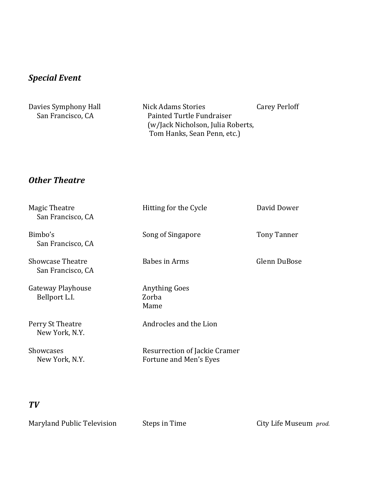## *Special Event*

| Davies Symphony Hall | Nick Adams Stories                | <b>Carey Perloff</b> |
|----------------------|-----------------------------------|----------------------|
| San Francisco, CA    | Painted Turtle Fundraiser         |                      |
|                      | (w/Jack Nicholson, Julia Roberts, |                      |
|                      | Tom Hanks, Sean Penn, etc.)       |                      |

#### *Other Theatre*

| Magic Theatre<br>San Francisco, CA           | Hitting for the Cycle                                   | David Dower        |
|----------------------------------------------|---------------------------------------------------------|--------------------|
| Bimbo's<br>San Francisco, CA                 | Song of Singapore                                       | <b>Tony Tanner</b> |
| <b>Showcase Theatre</b><br>San Francisco, CA | Babes in Arms                                           | Glenn DuBose       |
| Gateway Playhouse<br>Bellport L.I.           | <b>Anything Goes</b><br>Zorba<br>Mame                   |                    |
| Perry St Theatre<br>New York, N.Y.           | Androcles and the Lion                                  |                    |
| <b>Showcases</b><br>New York, N.Y.           | Resurrection of Jackie Cramer<br>Fortune and Men's Eyes |                    |

### *TV*

Maryland Public Television Steps in Time **City Life Museum** prod.